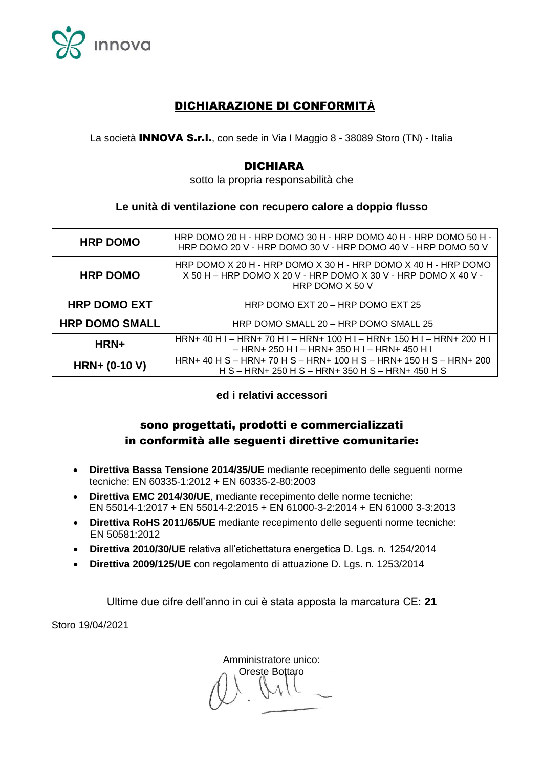

# DICHIARAZIONE DI CONFORMIT**À**

La società **INNOVA S.r.I.**, con sede in Via I Maggio 8 - 38089 Storo (TN) - Italia

## DICHIARA

sotto la propria responsabilità che

### **Le unità di ventilazione con recupero calore a doppio flusso**

| <b>HRP DOMO</b>       | HRP DOMO 20 H - HRP DOMO 30 H - HRP DOMO 40 H - HRP DOMO 50 H -<br>HRP DOMO 20 V - HRP DOMO 30 V - HRP DOMO 40 V - HRP DOMO 50 V                      |
|-----------------------|-------------------------------------------------------------------------------------------------------------------------------------------------------|
| <b>HRP DOMO</b>       | HRP DOMO X 20 H - HRP DOMO X 30 H - HRP DOMO X 40 H - HRP DOMO<br>$X$ 50 H – HRP DOMO X 20 V - HRP DOMO X 30 V - HRP DOMO X 40 V -<br>HRP DOMO X 50 V |
| <b>HRP DOMO EXT</b>   | HRP DOMO EXT 20 - HRP DOMO EXT 25                                                                                                                     |
| <b>HRP DOMO SMALL</b> | HRP DOMO SMALL 20 - HRP DOMO SMALL 25                                                                                                                 |
| HRN+                  | HRN+ 40 H I - HRN+ 70 H I - HRN+ 100 H I - HRN+ 150 H I - HRN+ 200 H I<br>– HRN+ 250 H I – HRN+ 350 H I – HRN+ 450 H I                                |
| <b>HRN+ (0-10 V)</b>  | HRN+ 40 H S - HRN+ 70 H S - HRN+ 100 H S - HRN+ 150 H S - HRN+ 200<br>H S - HRN+ 250 H S - HRN+ 350 H S - HRN+ 450 H S                                |

### **ed i relativi accessori**

# sono progettati, prodotti e commercializzati in conformità alle seguenti direttive comunitarie:

- **Direttiva Bassa Tensione 2014/35/UE** mediante recepimento delle seguenti norme tecniche: EN 60335-1:2012 + EN 60335-2-80:2003
- **Direttiva EMC 2014/30/UE**, mediante recepimento delle norme tecniche: EN 55014-1:2017 + EN 55014-2:2015 + EN 61000-3-2:2014 + EN 61000 3-3:2013
- **Direttiva RoHS 2011/65/UE** mediante recepimento delle seguenti norme tecniche: EN 50581:2012
- **Direttiva 2010/30/UE** relativa all'etichettatura energetica D. Lgs. n. 1254/2014
- **Direttiva 2009/125/UE** con regolamento di attuazione D. Lgs. n. 1253/2014

Ultime due cifre dell'anno in cui è stata apposta la marcatura CE: **21**

Storo 19/04/2021

Amministratore unico: Oreste Bottaro